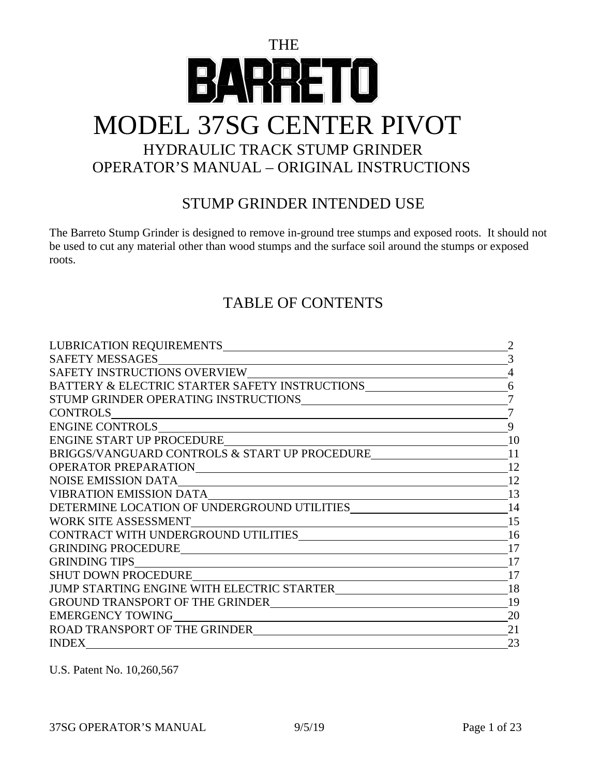# THE  $\Box$  $\Box$ MODEL 37SG CENTER PIVOT HYDRAULIC TRACK STUMP GRINDER OPERATOR'S MANUAL – ORIGINAL INSTRUCTIONS

#### STUMP GRINDER INTENDED USE

The Barreto Stump Grinder is designed to remove in-ground tree stumps and exposed roots. It should not be used to cut any material other than wood stumps and the surface soil around the stumps or exposed roots.

#### TABLE OF CONTENTS

| BATTERY & ELECTRIC STARTER SAFETY INSTRUCTIONS__________________________________                                                              | 6  |
|-----------------------------------------------------------------------------------------------------------------------------------------------|----|
|                                                                                                                                               |    |
| <b>CONTROLS</b>                                                                                                                               |    |
|                                                                                                                                               | 9  |
| ENGINE START UP PROCEDURE                                                                                                                     | 10 |
| BRIGGS/VANGUARD CONTROLS & START UP PROCEDURE                                                                                                 | 11 |
|                                                                                                                                               | 12 |
| <b>NOISE EMISSION DATA</b>                                                                                                                    | 12 |
|                                                                                                                                               | 13 |
|                                                                                                                                               | 14 |
| WORK SITE ASSESSMENT<br><u> 1989 - Johann Barn, mars ann an t-Amhain Aonaich an t-Aonaich an t-Aonaich an t-Aonaich an t-Aonaich an t-Aon</u> | 15 |
|                                                                                                                                               | 16 |
|                                                                                                                                               | 17 |
|                                                                                                                                               | 17 |
| <b>SHUT DOWN PROCEDURE</b>                                                                                                                    | 17 |
|                                                                                                                                               | 18 |
|                                                                                                                                               | 19 |
| <b>EMERGENCY TOWING</b><br><u> 1980 - Johann Barbara, martxa alemaniar arg</u>                                                                | 20 |
|                                                                                                                                               | 21 |
| <b>INDEX</b>                                                                                                                                  | 23 |

U.S. Patent No. 10,260,567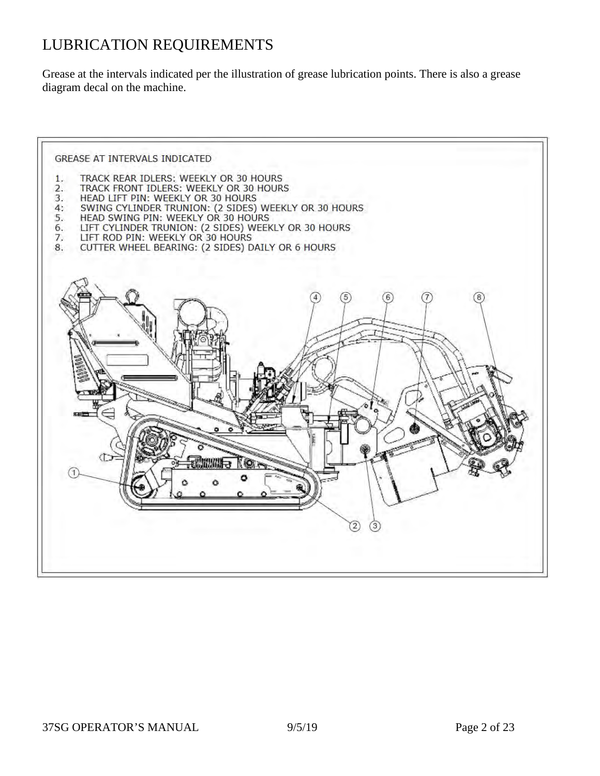# LUBRICATION REQUIREMENTS

Grease at the intervals indicated per the illustration of grease lubrication points. There is also a grease diagram decal on the machine.

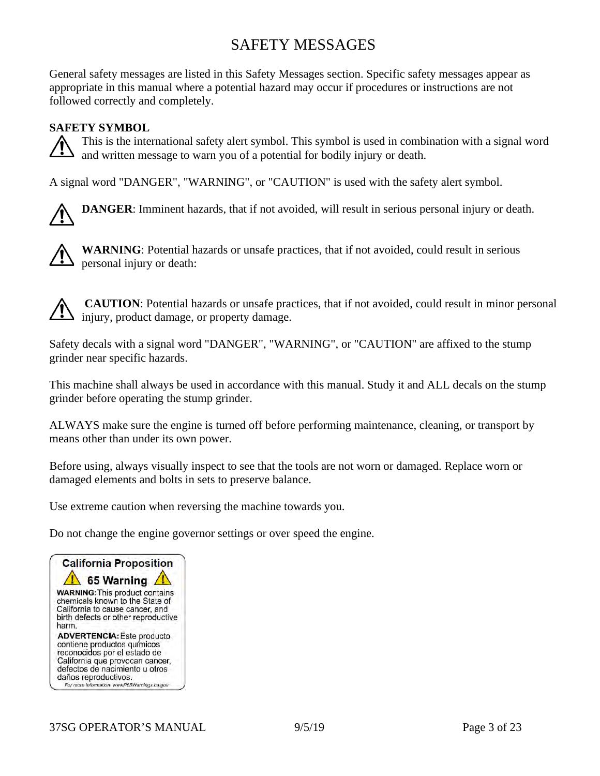### SAFETY MESSAGES

General safety messages are listed in this Safety Messages section. Specific safety messages appear as appropriate in this manual where a potential hazard may occur if procedures or instructions are not followed correctly and completely.

#### **SAFETY SYMBOL**

This is the international safety alert symbol. This symbol is used in combination with a signal word and written message to warn you of a potential for bodily injury or death.

A signal word "DANGER", "WARNING", or "CAUTION" is used with the safety alert symbol.

**DANGER**: Imminent hazards, that if not avoided, will result in serious personal injury or death.



**WARNING**: Potential hazards or unsafe practices, that if not avoided, could result in serious personal injury or death:

**CAUTION**: Potential hazards or unsafe practices, that if not avoided, could result in minor personal injury, product damage, or property damage.

Safety decals with a signal word "DANGER", "WARNING", or "CAUTION" are affixed to the stump grinder near specific hazards.

This machine shall always be used in accordance with this manual. Study it and ALL decals on the stump grinder before operating the stump grinder.

ALWAYS make sure the engine is turned off before performing maintenance, cleaning, or transport by means other than under its own power.

Before using, always visually inspect to see that the tools are not worn or damaged. Replace worn or damaged elements and bolts in sets to preserve balance.

Use extreme caution when reversing the machine towards you.

Do not change the engine governor settings or over speed the engine.

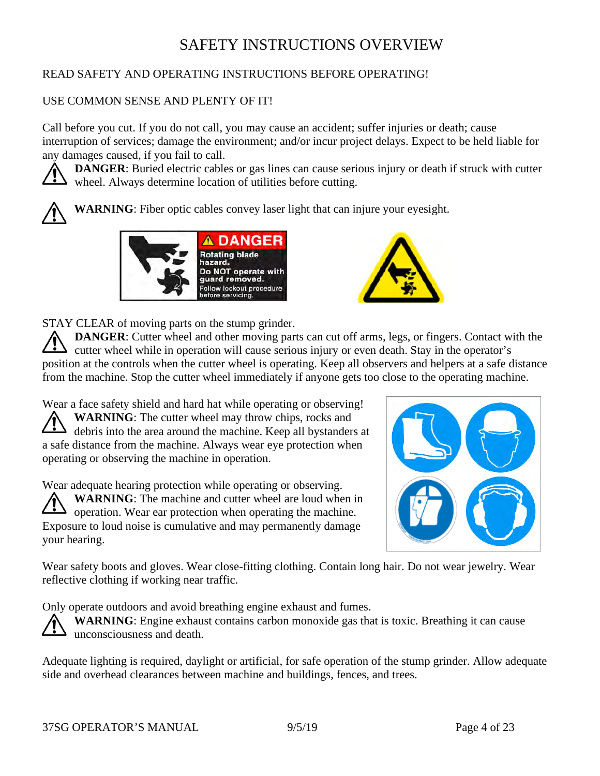### SAFETY INSTRUCTIONS OVERVIEW

#### READ SAFETY AND OPERATING INSTRUCTIONS BEFORE OPERATING!

#### USE COMMON SENSE AND PLENTY OF IT!

Call before you cut. If you do not call, you may cause an accident; suffer injuries or death; cause interruption of services; damage the environment; and/or incur project delays. Expect to be held liable for any damages caused, if you fail to call.

**DANGER:** Buried electric cables or gas lines can cause serious injury or death if struck with cutter wheel. Always determine location of utilities before cutting.







STAY CLEAR of moving parts on the stump grinder.

**DANGER**: Cutter wheel and other moving parts can cut off arms, legs, or fingers. Contact with the cutter wheel while in operation will cause serious injury or even death. Stay in the operator's position at the controls when the cutter wheel is operating. Keep all observers and helpers at a safe distance from the machine. Stop the cutter wheel immediately if anyone gets too close to the operating machine.

Wear a face safety shield and hard hat while operating or observing! **WARNING**: The cutter wheel may throw chips, rocks and debris into the area around the machine. Keep all bystanders at a safe distance from the machine. Always wear eye protection when operating or observing the machine in operation.

Wear adequate hearing protection while operating or observing. **WARNING**: The machine and cutter wheel are loud when in operation. Wear ear protection when operating the machine. Exposure to loud noise is cumulative and may permanently damage your hearing.



Wear safety boots and gloves. Wear close-fitting clothing. Contain long hair. Do not wear jewelry. Wear reflective clothing if working near traffic.

Only operate outdoors and avoid breathing engine exhaust and fumes.

WARNING: Engine exhaust contains carbon monoxide gas that is toxic. Breathing it can cause unconsciousness and death.

Adequate lighting is required, daylight or artificial, for safe operation of the stump grinder. Allow adequate side and overhead clearances between machine and buildings, fences, and trees.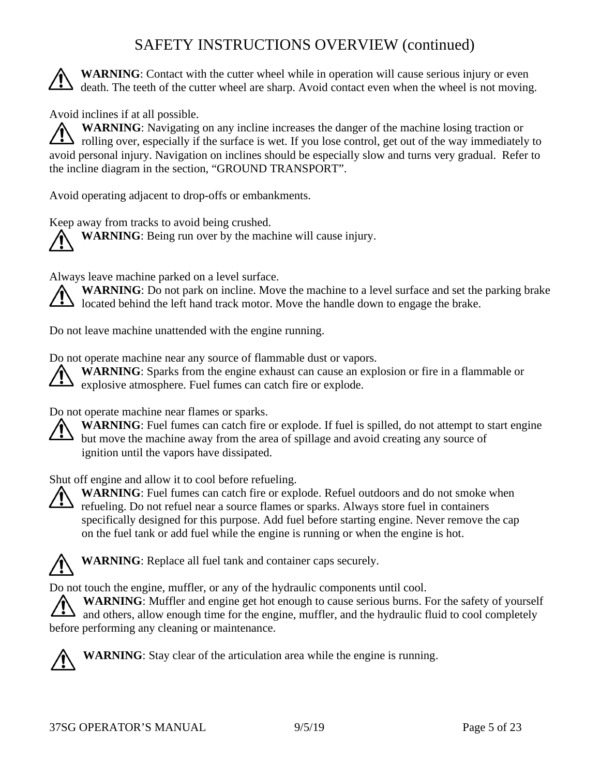## SAFETY INSTRUCTIONS OVERVIEW (continued)

**WARNING**: Contact with the cutter wheel while in operation will cause serious injury or even death. The teeth of the cutter wheel are sharp. Avoid contact even when the wheel is not moving.

Avoid inclines if at all possible.

**WARNING**: Navigating on any incline increases the danger of the machine losing traction or  $\sum$  rolling over, especially if the surface is wet. If you lose control, get out of the way immediately to avoid personal injury. Navigation on inclines should be especially slow and turns very gradual. Refer to the incline diagram in the section, "GROUND TRANSPORT".

Avoid operating adjacent to drop-offs or embankments.

Keep away from tracks to avoid being crushed. **WARNING**: Being run over by the machine will cause injury.

Always leave machine parked on a level surface.

**WARNING**: Do not park on incline. Move the machine to a level surface and set the parking brake  $\Delta$  located behind the left hand track motor. Move the handle down to engage the brake.

Do not leave machine unattended with the engine running.

Do not operate machine near any source of flammable dust or vapors.

**WARNING**: Sparks from the engine exhaust can cause an explosion or fire in a flammable or S explosive atmosphere. Fuel fumes can catch fire or explode.

Do not operate machine near flames or sparks.

**WARNING**: Fuel fumes can catch fire or explode. If fuel is spilled, do not attempt to start engine but move the machine away from the area of spillage and avoid creating any source of ignition until the vapors have dissipated.

Shut off engine and allow it to cool before refueling.



**WARNING**: Fuel fumes can catch fire or explode. Refuel outdoors and do not smoke when refueling. Do not refuel near a source flames or sparks. Always store fuel in containers specifically designed for this purpose. Add fuel before starting engine. Never remove the cap on the fuel tank or add fuel while the engine is running or when the engine is hot.



**WARNING**: Replace all fuel tank and container caps securely.

Do not touch the engine, muffler, or any of the hydraulic components until cool.

**WARNING**: Muffler and engine get hot enough to cause serious burns. For the safety of yourself and others, allow enough time for the engine, muffler, and the hydraulic fluid to cool completely before performing any cleaning or maintenance.



**WARNING**: Stay clear of the articulation area while the engine is running.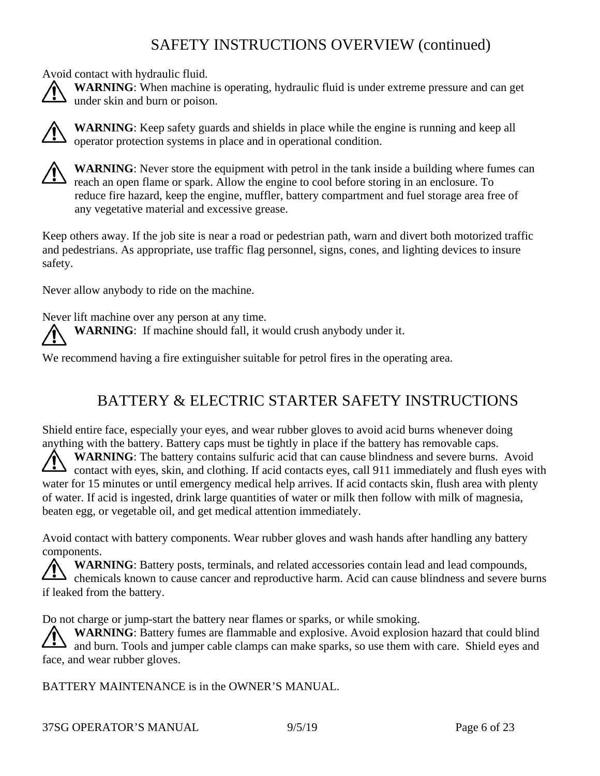# SAFETY INSTRUCTIONS OVERVIEW (continued)

Avoid contact with hydraulic fluid.

**WARNING**: When machine is operating, hydraulic fluid is under extreme pressure and can get under skin and burn or poison.



**WARNING**: Keep safety guards and shields in place while the engine is running and keep all operator protection systems in place and in operational condition.



**WARNING**: Never store the equipment with petrol in the tank inside a building where fumes can reach an open flame or spark. Allow the engine to cool before storing in an enclosure. To reduce fire hazard, keep the engine, muffler, battery compartment and fuel storage area free of any vegetative material and excessive grease.

Keep others away. If the job site is near a road or pedestrian path, warn and divert both motorized traffic and pedestrians. As appropriate, use traffic flag personnel, signs, cones, and lighting devices to insure safety.

Never allow anybody to ride on the machine.

Never lift machine over any person at any time. **WARNING**: If machine should fall, it would crush anybody under it.

We recommend having a fire extinguisher suitable for petrol fires in the operating area.

### BATTERY & ELECTRIC STARTER SAFETY INSTRUCTIONS

Shield entire face, especially your eyes, and wear rubber gloves to avoid acid burns whenever doing anything with the battery. Battery caps must be tightly in place if the battery has removable caps.

**WARNING**: The battery contains sulfuric acid that can cause blindness and severe burns. Avoid  $\sum$  contact with eyes, skin, and clothing. If acid contacts eyes, call 911 immediately and flush eyes with water for 15 minutes or until emergency medical help arrives. If acid contacts skin, flush area with plenty of water. If acid is ingested, drink large quantities of water or milk then follow with milk of magnesia, beaten egg, or vegetable oil, and get medical attention immediately.

Avoid contact with battery components. Wear rubber gloves and wash hands after handling any battery components.

**WARNING**: Battery posts, terminals, and related accessories contain lead and lead compounds, chemicals known to cause cancer and reproductive harm. Acid can cause blindness and severe burns if leaked from the battery.

Do not charge or jump-start the battery near flames or sparks, or while smoking.

**WARNING**: Battery fumes are flammable and explosive. Avoid explosion hazard that could blind and burn. Tools and jumper cable clamps can make sparks, so use them with care. Shield eyes and face, and wear rubber gloves.

BATTERY MAINTENANCE is in the OWNER'S MANUAL.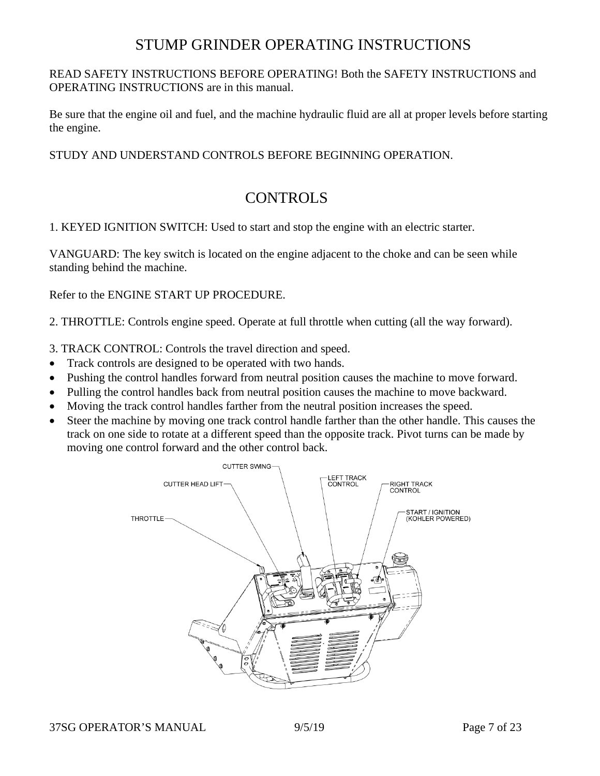#### STUMP GRINDER OPERATING INSTRUCTIONS

#### READ SAFETY INSTRUCTIONS BEFORE OPERATING! Both the SAFETY INSTRUCTIONS and OPERATING INSTRUCTIONS are in this manual.

Be sure that the engine oil and fuel, and the machine hydraulic fluid are all at proper levels before starting the engine.

#### STUDY AND UNDERSTAND CONTROLS BEFORE BEGINNING OPERATION.

#### CONTROLS

1. KEYED IGNITION SWITCH: Used to start and stop the engine with an electric starter.

VANGUARD: The key switch is located on the engine adjacent to the choke and can be seen while standing behind the machine.

Refer to the ENGINE START UP PROCEDURE.

2. THROTTLE: Controls engine speed. Operate at full throttle when cutting (all the way forward).

- 3. TRACK CONTROL: Controls the travel direction and speed.
- Track controls are designed to be operated with two hands.
- Pushing the control handles forward from neutral position causes the machine to move forward.
- Pulling the control handles back from neutral position causes the machine to move backward.
- Moving the track control handles farther from the neutral position increases the speed.
- Steer the machine by moving one track control handle farther than the other handle. This causes the track on one side to rotate at a different speed than the opposite track. Pivot turns can be made by moving one control forward and the other control back.

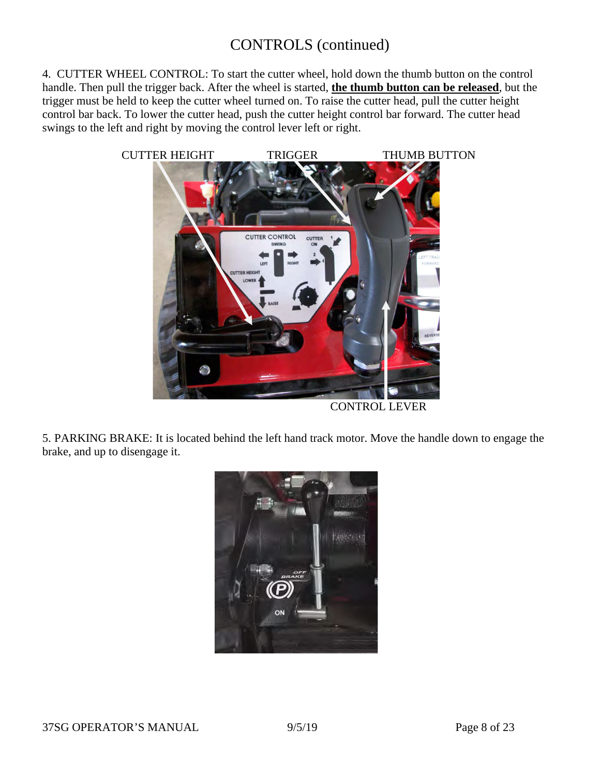### CONTROLS (continued)

4. CUTTER WHEEL CONTROL: To start the cutter wheel, hold down the thumb button on the control handle. Then pull the trigger back. After the wheel is started, **the thumb button can be released**, but the trigger must be held to keep the cutter wheel turned on. To raise the cutter head, pull the cutter height control bar back. To lower the cutter head, push the cutter height control bar forward. The cutter head swings to the left and right by moving the control lever left or right.



CONTROL LEVER

5. PARKING BRAKE: It is located behind the left hand track motor. Move the handle down to engage the brake, and up to disengage it.

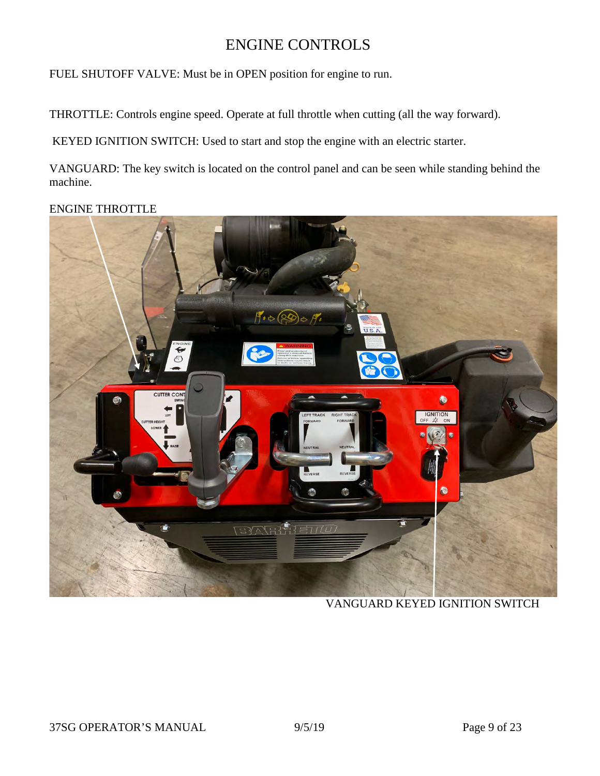#### ENGINE CONTROLS

FUEL SHUTOFF VALVE: Must be in OPEN position for engine to run.

THROTTLE: Controls engine speed. Operate at full throttle when cutting (all the way forward).

KEYED IGNITION SWITCH: Used to start and stop the engine with an electric starter.

VANGUARD: The key switch is located on the control panel and can be seen while standing behind the machine.

#### ENGINE THROTTLE



VANGUARD KEYED IGNITION SWITCH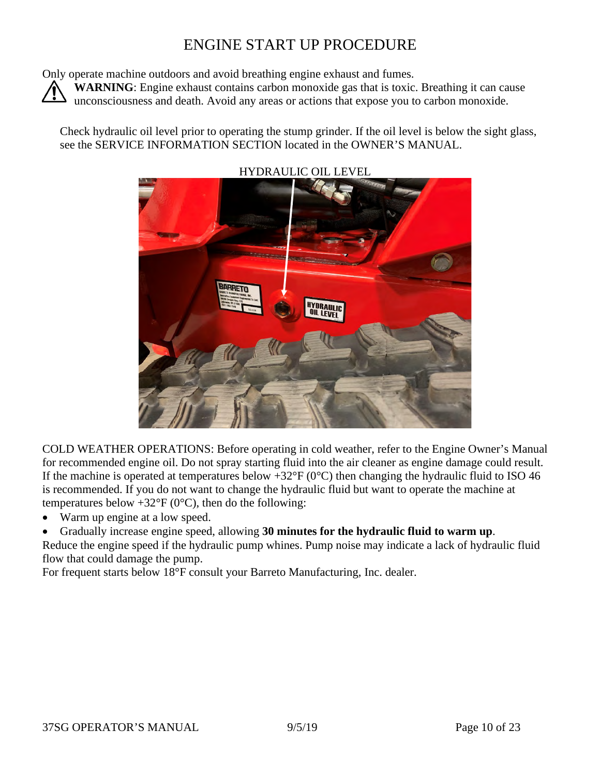### ENGINE START UP PROCEDURE

Only operate machine outdoors and avoid breathing engine exhaust and fumes.

WARNING: Engine exhaust contains carbon monoxide gas that is toxic. Breathing it can cause unconsciousness and death. Avoid any areas or actions that expose you to carbon monoxide.

Check hydraulic oil level prior to operating the stump grinder. If the oil level is below the sight glass, see the SERVICE INFORMATION SECTION located in the OWNER'S MANUAL.



#### HYDRAULIC OIL LEVEL

COLD WEATHER OPERATIONS: Before operating in cold weather, refer to the Engine Owner's Manual for recommended engine oil. Do not spray starting fluid into the air cleaner as engine damage could result. If the machine is operated at temperatures below  $+32^{\circ}F(0^{\circ}C)$  then changing the hydraulic fluid to ISO 46 is recommended. If you do not want to change the hydraulic fluid but want to operate the machine at temperatures below  $+32^{\circ}F(0^{\circ}C)$ , then do the following:

- Warm up engine at a low speed.
- Gradually increase engine speed, allowing **30 minutes for the hydraulic fluid to warm up**.

Reduce the engine speed if the hydraulic pump whines. Pump noise may indicate a lack of hydraulic fluid flow that could damage the pump.

For frequent starts below 18°F consult your Barreto Manufacturing, Inc. dealer.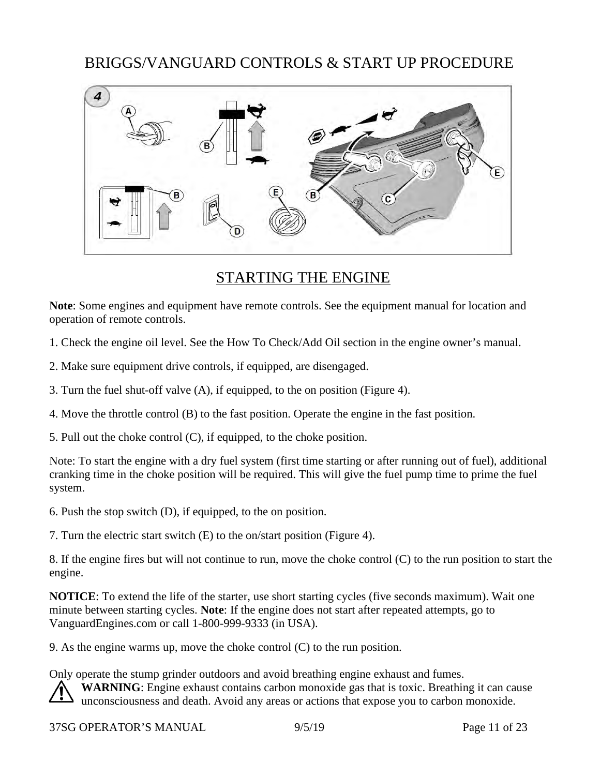#### BRIGGS/VANGUARD CONTROLS & START UP PROCEDURE



#### STARTING THE ENGINE

**Note**: Some engines and equipment have remote controls. See the equipment manual for location and operation of remote controls.

1. Check the engine oil level. See the How To Check/Add Oil section in the engine owner's manual.

2. Make sure equipment drive controls, if equipped, are disengaged.

3. Turn the fuel shut-off valve (A), if equipped, to the on position (Figure 4).

4. Move the throttle control (B) to the fast position. Operate the engine in the fast position.

5. Pull out the choke control (C), if equipped, to the choke position.

Note: To start the engine with a dry fuel system (first time starting or after running out of fuel), additional cranking time in the choke position will be required. This will give the fuel pump time to prime the fuel system.

6. Push the stop switch (D), if equipped, to the on position.

7. Turn the electric start switch (E) to the on/start position (Figure 4).

8. If the engine fires but will not continue to run, move the choke control (C) to the run position to start the engine.

**NOTICE**: To extend the life of the starter, use short starting cycles (five seconds maximum). Wait one minute between starting cycles. **Note**: If the engine does not start after repeated attempts, go to VanguardEngines.com or call 1-800-999-9333 (in USA).

9. As the engine warms up, move the choke control (C) to the run position.

Only operate the stump grinder outdoors and avoid breathing engine exhaust and fumes. WARNING: Engine exhaust contains carbon monoxide gas that is toxic. Breathing it can cause unconsciousness and death. Avoid any areas or actions that expose you to carbon monoxide.

37SG OPERATOR'S MANUAL 9/5/19 Page 11 of 23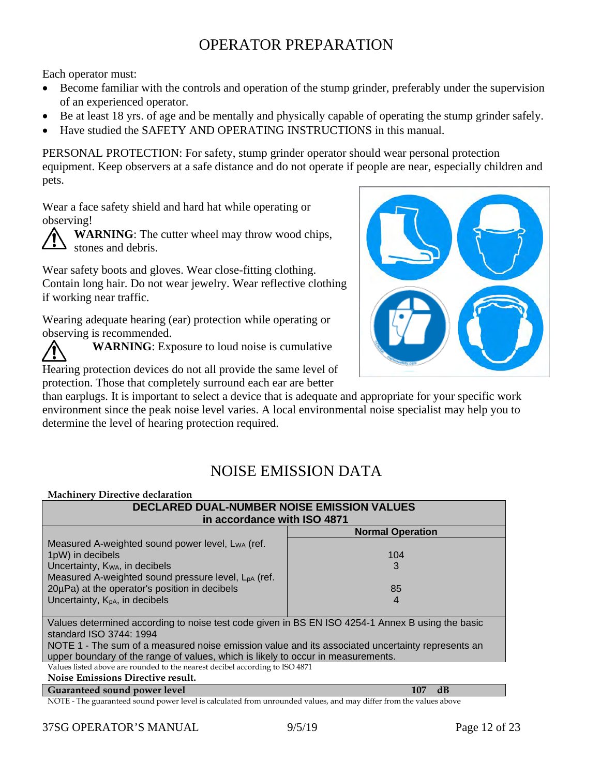# OPERATOR PREPARATION

Each operator must:

- Become familiar with the controls and operation of the stump grinder, preferably under the supervision of an experienced operator.
- Be at least 18 yrs. of age and be mentally and physically capable of operating the stump grinder safely.
- Have studied the SAFETY AND OPERATING INSTRUCTIONS in this manual.

PERSONAL PROTECTION: For safety, stump grinder operator should wear personal protection equipment. Keep observers at a safe distance and do not operate if people are near, especially children and pets.

Wear a face safety shield and hard hat while operating or observing!

**WARNING**: The cutter wheel may throw wood chips, stones and debris.

Wear safety boots and gloves. Wear close-fitting clothing. Contain long hair. Do not wear jewelry. Wear reflective clothing if working near traffic.

Wearing adequate hearing (ear) protection while operating or observing is recommended.

**WARNING**: Exposure to loud noise is cumulative

Hearing protection devices do not all provide the same level of protection. Those that completely surround each ear are better

than earplugs. It is important to select a device that is adequate and appropriate for your specific work environment since the peak noise level varies. A local environmental noise specialist may help you to determine the level of hearing protection required.

### NOISE EMISSION DATA

| <b>Machinery Directive declaration</b>                                                                          |                         |  |  |
|-----------------------------------------------------------------------------------------------------------------|-------------------------|--|--|
| <b>DECLARED DUAL-NUMBER NOISE EMISSION VALUES</b>                                                               |                         |  |  |
| in accordance with ISO 4871                                                                                     |                         |  |  |
|                                                                                                                 | <b>Normal Operation</b> |  |  |
| Measured A-weighted sound power level, LwA (ref.                                                                |                         |  |  |
| 1pW) in decibels                                                                                                | 104                     |  |  |
| Uncertainty, K <sub>WA</sub> , in decibels                                                                      | 3                       |  |  |
| Measured A-weighted sound pressure level, L <sub>pA</sub> (ref.                                                 |                         |  |  |
| 20µPa) at the operator's position in decibels                                                                   | 85                      |  |  |
| Uncertainty, $K_{pA}$ , in decibels                                                                             | $\overline{4}$          |  |  |
|                                                                                                                 |                         |  |  |
| Values determined according to noise test code given in BS EN ISO 4254-1 Annex B using the basic                |                         |  |  |
| standard ISO 3744: 1994                                                                                         |                         |  |  |
| NOTE 1 - The sum of a measured noise emission value and its associated uncertainty represents an                |                         |  |  |
| upper boundary of the range of values, which is likely to occur in measurements.                                |                         |  |  |
| Values listed above are rounded to the nearest decibel according to ISO 4871                                    |                         |  |  |
| Noise Emissions Directive result.                                                                               |                         |  |  |
| Guaranteed sound power level                                                                                    | $\mathbf{d}$<br>107     |  |  |
| NOTE The guaranteed cound power level is calculated from unrounded values, and may differ from the values above |                         |  |  |

The guaranteed sound power level is calculated from unrounded values, and may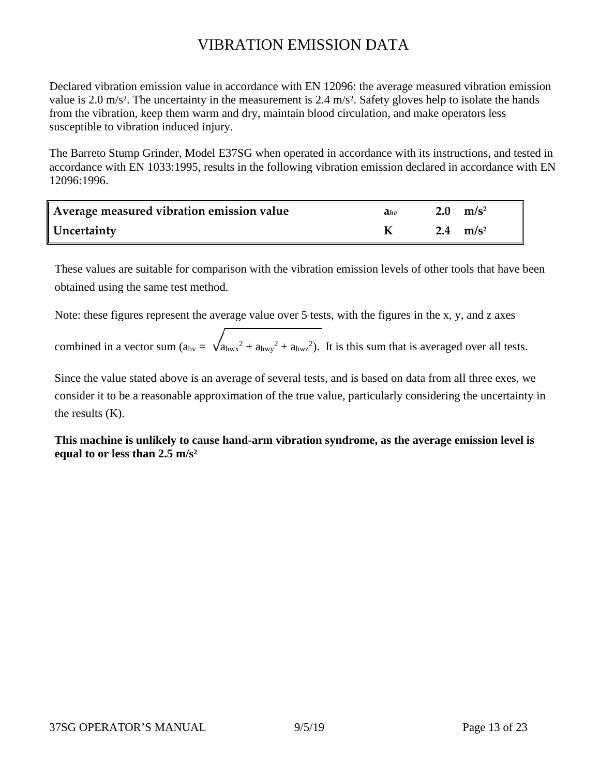# VIBRATION EMISSION DATA

Declared vibration emission value in accordance with EN 12096: the average measured vibration emission value is 2.0 m/s<sup>2</sup>. The uncertainty in the measurement is 2.4 m/s<sup>2</sup>. Safety gloves help to isolate the hands from the vibration, keep them warm and dry, maintain blood circulation, and make operators less susceptible to vibration induced injury.

The Barreto Stump Grinder, Model E37SG when operated in accordance with its instructions, and tested in accordance with EN 1033:1995, results in the following vibration emission declared in accordance with EN 12096:1996.

| Average measured vibration emission value | $a_{hv}$ | 2.0 $\rm m/s^2$ |
|-------------------------------------------|----------|-----------------|
| Uncertainty                               |          | 2.4 $m/s^2$     |

These values are suitable for comparison with the vibration emission levels of other tools that have been obtained using the same test method.

Note: these figures represent the average value over 5 tests, with the figures in the x, y, and z axes

combined in a vector sum  $(a_{hv} = \sqrt{a_{hwx}^2 + a_{hwy}^2 + a_{hwz}^2})$ . It is this sum that is averaged over all tests.

Since the value stated above is an average of several tests, and is based on data from all three exes, we consider it to be a reasonable approximation of the true value, particularly considering the uncertainty in the results (K).

**This machine is unlikely to cause hand-arm vibration syndrome, as the average emission level is equal to or less than 2.5 m/s²**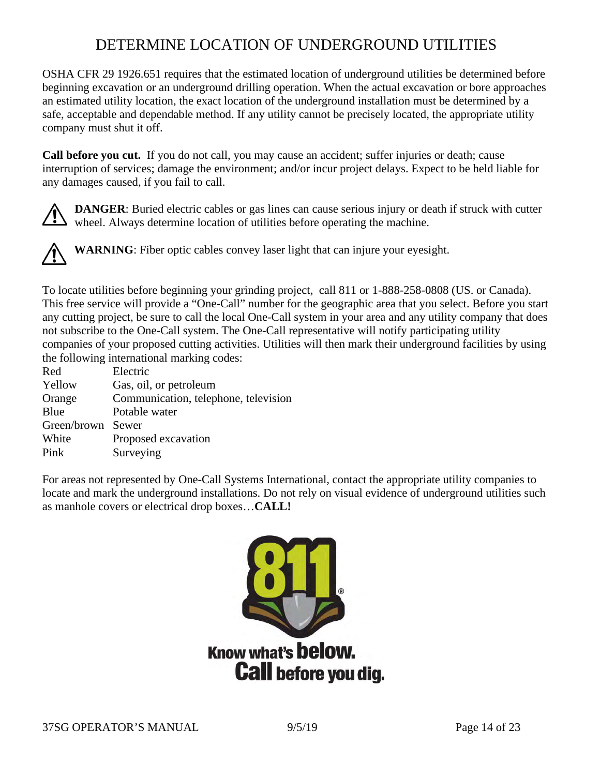### DETERMINE LOCATION OF UNDERGROUND UTILITIES

OSHA CFR 29 1926.651 requires that the estimated location of underground utilities be determined before beginning excavation or an underground drilling operation. When the actual excavation or bore approaches an estimated utility location, the exact location of the underground installation must be determined by a safe, acceptable and dependable method. If any utility cannot be precisely located, the appropriate utility company must shut it off.

**Call before you cut.** If you do not call, you may cause an accident; suffer injuries or death; cause interruption of services; damage the environment; and/or incur project delays. Expect to be held liable for any damages caused, if you fail to call.

**DANGER**: Buried electric cables or gas lines can cause serious injury or death if struck with cutter wheel. Always determine location of utilities before operating the machine.

**WARNING**: Fiber optic cables convey laser light that can injure your eyesight.

To locate utilities before beginning your grinding project, call 811 or 1-888-258-0808 (US. or Canada). This free service will provide a "One-Call" number for the geographic area that you select. Before you start any cutting project, be sure to call the local One-Call system in your area and any utility company that does not subscribe to the One-Call system. The One-Call representative will notify participating utility companies of your proposed cutting activities. Utilities will then mark their underground facilities by using the following international marking codes:

| Red               | Electric                             |
|-------------------|--------------------------------------|
| Yellow            | Gas, oil, or petroleum               |
| Orange            | Communication, telephone, television |
| Blue              | Potable water                        |
| Green/brown Sewer |                                      |
| White             | Proposed excavation                  |
| Pink              | Surveying                            |
|                   |                                      |

For areas not represented by One-Call Systems International, contact the appropriate utility companies to locate and mark the underground installations. Do not rely on visual evidence of underground utilities such as manhole covers or electrical drop boxes…**CALL!**

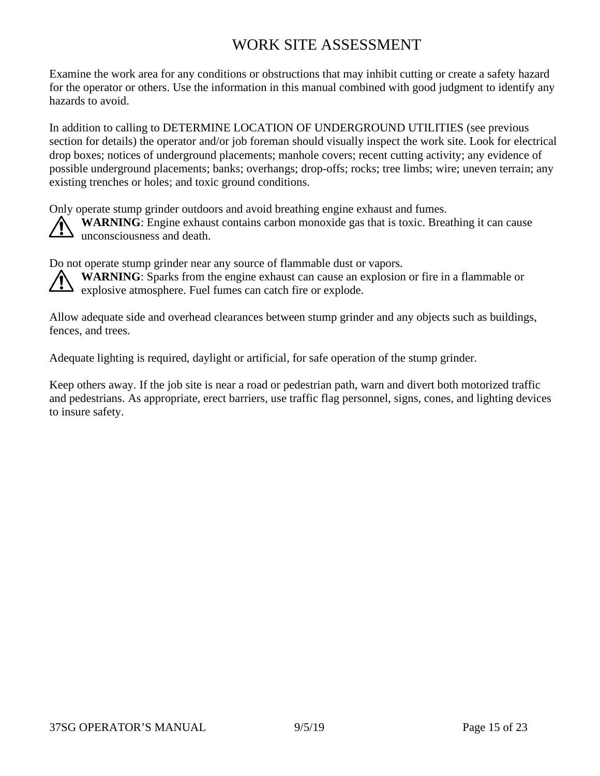## WORK SITE ASSESSMENT

Examine the work area for any conditions or obstructions that may inhibit cutting or create a safety hazard for the operator or others. Use the information in this manual combined with good judgment to identify any hazards to avoid.

In addition to calling to DETERMINE LOCATION OF UNDERGROUND UTILITIES (see previous section for details) the operator and/or job foreman should visually inspect the work site. Look for electrical drop boxes; notices of underground placements; manhole covers; recent cutting activity; any evidence of possible underground placements; banks; overhangs; drop-offs; rocks; tree limbs; wire; uneven terrain; any existing trenches or holes; and toxic ground conditions.

Only operate stump grinder outdoors and avoid breathing engine exhaust and fumes.



**WARNING**: Engine exhaust contains carbon monoxide gas that is toxic. Breathing it can cause unconsciousness and death.

Do not operate stump grinder near any source of flammable dust or vapors.

**WARNING**: Sparks from the engine exhaust can cause an explosion or fire in a flammable or explosive atmosphere. Fuel fumes can catch fire or explode.

Allow adequate side and overhead clearances between stump grinder and any objects such as buildings, fences, and trees.

Adequate lighting is required, daylight or artificial, for safe operation of the stump grinder.

Keep others away. If the job site is near a road or pedestrian path, warn and divert both motorized traffic and pedestrians. As appropriate, erect barriers, use traffic flag personnel, signs, cones, and lighting devices to insure safety.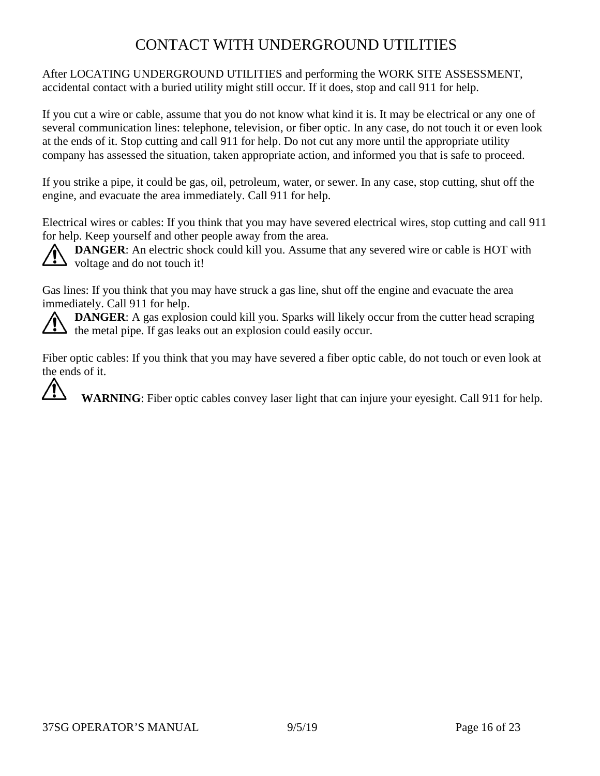# CONTACT WITH UNDERGROUND UTILITIES

After LOCATING UNDERGROUND UTILITIES and performing the WORK SITE ASSESSMENT, accidental contact with a buried utility might still occur. If it does, stop and call 911 for help.

If you cut a wire or cable, assume that you do not know what kind it is. It may be electrical or any one of several communication lines: telephone, television, or fiber optic. In any case, do not touch it or even look at the ends of it. Stop cutting and call 911 for help. Do not cut any more until the appropriate utility company has assessed the situation, taken appropriate action, and informed you that is safe to proceed.

If you strike a pipe, it could be gas, oil, petroleum, water, or sewer. In any case, stop cutting, shut off the engine, and evacuate the area immediately. Call 911 for help.

Electrical wires or cables: If you think that you may have severed electrical wires, stop cutting and call 911 for help. Keep yourself and other people away from the area.

**DANGER:** An electric shock could kill you. Assume that any severed wire or cable is HOT with  $\sum$  voltage and do not touch it!

Gas lines: If you think that you may have struck a gas line, shut off the engine and evacuate the area immediately. Call 911 for help.

**DANGER:** A gas explosion could kill you. Sparks will likely occur from the cutter head scraping the metal pipe. If gas leaks out an explosion could easily occur.

Fiber optic cables: If you think that you may have severed a fiber optic cable, do not touch or even look at the ends of it.

**WARNING**: Fiber optic cables convey laser light that can injure your eyesight. Call 911 for help.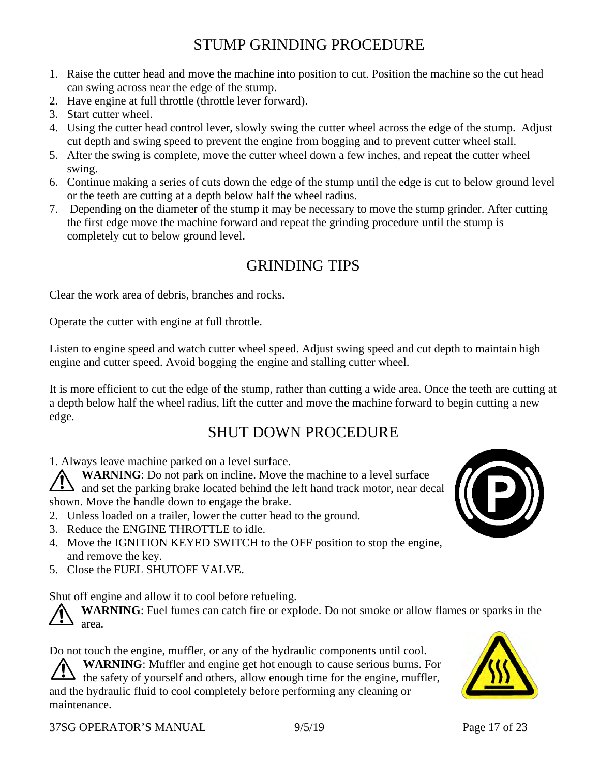### STUMP GRINDING PROCEDURE

- 1. Raise the cutter head and move the machine into position to cut. Position the machine so the cut head can swing across near the edge of the stump.
- 2. Have engine at full throttle (throttle lever forward).
- 3. Start cutter wheel.
- 4. Using the cutter head control lever, slowly swing the cutter wheel across the edge of the stump. Adjust cut depth and swing speed to prevent the engine from bogging and to prevent cutter wheel stall.
- 5. After the swing is complete, move the cutter wheel down a few inches, and repeat the cutter wheel swing.
- 6. Continue making a series of cuts down the edge of the stump until the edge is cut to below ground level or the teeth are cutting at a depth below half the wheel radius.
- 7. Depending on the diameter of the stump it may be necessary to move the stump grinder. After cutting the first edge move the machine forward and repeat the grinding procedure until the stump is completely cut to below ground level.

# GRINDING TIPS

Clear the work area of debris, branches and rocks.

Operate the cutter with engine at full throttle.

Listen to engine speed and watch cutter wheel speed. Adjust swing speed and cut depth to maintain high engine and cutter speed. Avoid bogging the engine and stalling cutter wheel.

It is more efficient to cut the edge of the stump, rather than cutting a wide area. Once the teeth are cutting at a depth below half the wheel radius, lift the cutter and move the machine forward to begin cutting a new edge.

### SHUT DOWN PROCEDURE

1. Always leave machine parked on a level surface.

**WARNING**: Do not park on incline. Move the machine to a level surface  $\sum_{n=1}^{\infty}$  and set the parking brake located behind the left hand track motor, near decal shown. Move the handle down to engage the brake.

- 2. Unless loaded on a trailer, lower the cutter head to the ground.
- 3. Reduce the ENGINE THROTTLE to idle.
- 4. Move the IGNITION KEYED SWITCH to the OFF position to stop the engine, and remove the key.
- 5. Close the FUEL SHUTOFF VALVE.

Shut off engine and allow it to cool before refueling.

**WARNING**: Fuel fumes can catch fire or explode. Do not smoke or allow flames or sparks in the area.

Do not touch the engine, muffler, or any of the hydraulic components until cool. **WARNING**: Muffler and engine get hot enough to cause serious burns. For  $\blacktriangle$  the safety of yourself and others, allow enough time for the engine, muffler, and the hydraulic fluid to cool completely before performing any cleaning or maintenance.



37SG OPERATOR'S MANUAL 9/5/19 Page 17 of 23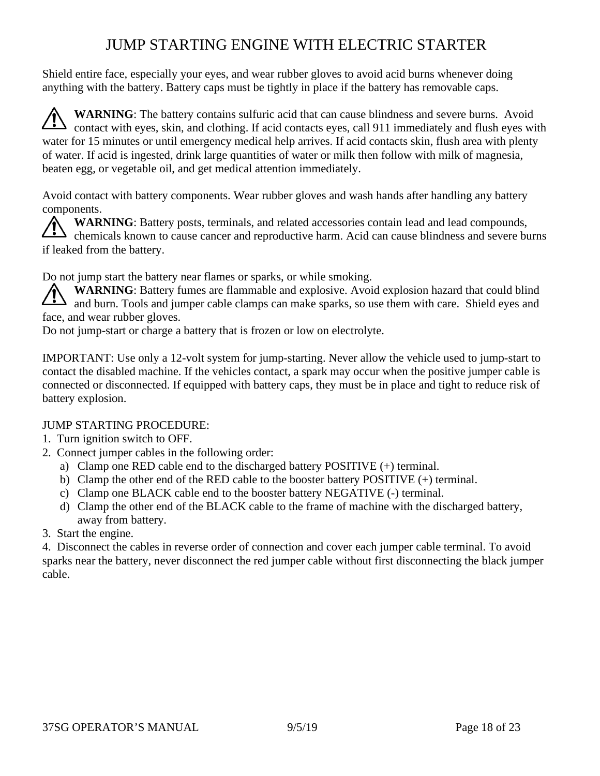# JUMP STARTING ENGINE WITH ELECTRIC STARTER

Shield entire face, especially your eyes, and wear rubber gloves to avoid acid burns whenever doing anything with the battery. Battery caps must be tightly in place if the battery has removable caps.

**WARNING**: The battery contains sulfuric acid that can cause blindness and severe burns. Avoid contact with eyes, skin, and clothing. If acid contacts eyes, call 911 immediately and flush eyes with water for 15 minutes or until emergency medical help arrives. If acid contacts skin, flush area with plenty of water. If acid is ingested, drink large quantities of water or milk then follow with milk of magnesia, beaten egg, or vegetable oil, and get medical attention immediately.

Avoid contact with battery components. Wear rubber gloves and wash hands after handling any battery components.

**WARNING**: Battery posts, terminals, and related accessories contain lead and lead compounds, chemicals known to cause cancer and reproductive harm. Acid can cause blindness and severe burns if leaked from the battery.

Do not jump start the battery near flames or sparks, or while smoking.

**WARNING**: Battery fumes are flammable and explosive. Avoid explosion hazard that could blind and burn. Tools and jumper cable clamps can make sparks, so use them with care. Shield eyes and face, and wear rubber gloves.

Do not jump-start or charge a battery that is frozen or low on electrolyte.

IMPORTANT: Use only a 12-volt system for jump-starting. Never allow the vehicle used to jump-start to contact the disabled machine. If the vehicles contact, a spark may occur when the positive jumper cable is connected or disconnected. If equipped with battery caps, they must be in place and tight to reduce risk of battery explosion.

#### JUMP STARTING PROCEDURE:

- 1. Turn ignition switch to OFF.
- 2. Connect jumper cables in the following order:
	- a) Clamp one RED cable end to the discharged battery POSITIVE (+) terminal.
	- b) Clamp the other end of the RED cable to the booster battery POSITIVE (+) terminal.
	- c) Clamp one BLACK cable end to the booster battery NEGATIVE (-) terminal.
	- d) Clamp the other end of the BLACK cable to the frame of machine with the discharged battery, away from battery.
- 3. Start the engine.

4. Disconnect the cables in reverse order of connection and cover each jumper cable terminal. To avoid sparks near the battery, never disconnect the red jumper cable without first disconnecting the black jumper cable.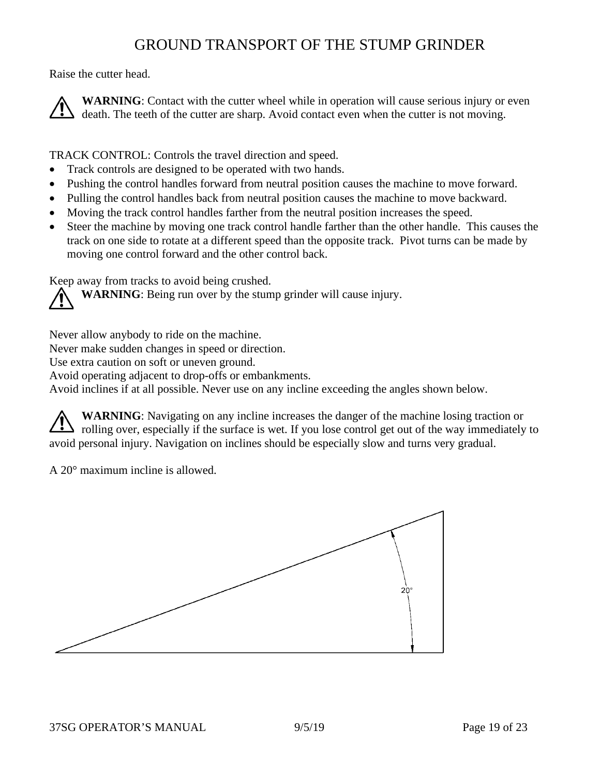#### GROUND TRANSPORT OF THE STUMP GRINDER

Raise the cutter head.

**WARNING**: Contact with the cutter wheel while in operation will cause serious injury or even death. The teeth of the cutter are sharp. Avoid contact even when the cutter is not moving.

TRACK CONTROL: Controls the travel direction and speed.

- Track controls are designed to be operated with two hands.
- Pushing the control handles forward from neutral position causes the machine to move forward.
- Pulling the control handles back from neutral position causes the machine to move backward.
- Moving the track control handles farther from the neutral position increases the speed.
- Steer the machine by moving one track control handle farther than the other handle. This causes the track on one side to rotate at a different speed than the opposite track. Pivot turns can be made by moving one control forward and the other control back.

Keep away from tracks to avoid being crushed.

**WARNING**: Being run over by the stump grinder will cause injury.

Never allow anybody to ride on the machine.

Never make sudden changes in speed or direction.

Use extra caution on soft or uneven ground.

Avoid operating adjacent to drop-offs or embankments.

Avoid inclines if at all possible. Never use on any incline exceeding the angles shown below.

**WARNING**: Navigating on any incline increases the danger of the machine losing traction or If rolling over, especially if the surface is wet. If you lose control get out of the way immediately to avoid personal injury. Navigation on inclines should be especially slow and turns very gradual.

A 20° maximum incline is allowed.

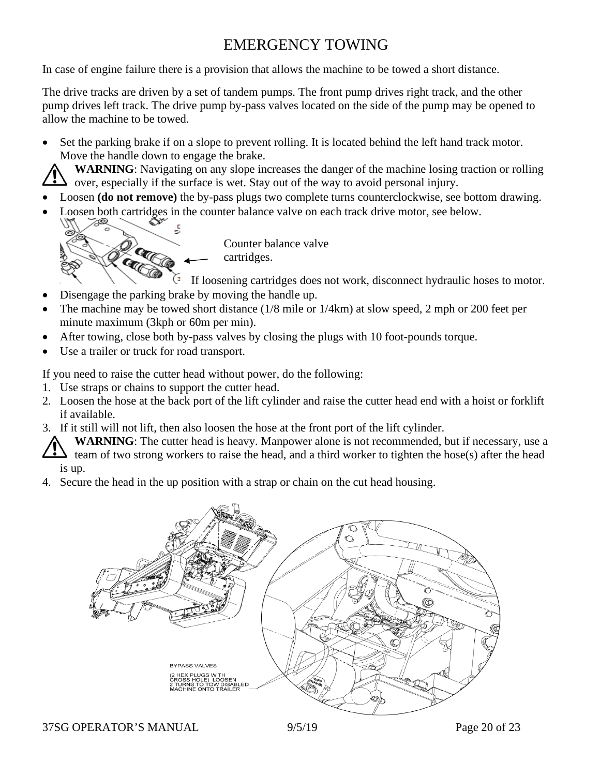# EMERGENCY TOWING

In case of engine failure there is a provision that allows the machine to be towed a short distance.

The drive tracks are driven by a set of tandem pumps. The front pump drives right track, and the other pump drives left track. The drive pump by-pass valves located on the side of the pump may be opened to allow the machine to be towed.

• Set the parking brake if on a slope to prevent rolling. It is located behind the left hand track motor. Move the handle down to engage the brake.

**WARNING**: Navigating on any slope increases the danger of the machine losing traction or rolling over, especially if the surface is wet. Stay out of the way to avoid personal injury.

- Loosen **(do not remove)** the by-pass plugs two complete turns counterclockwise, see bottom drawing.
- Loosen both cartridges in the counter balance valve on each track drive motor, see below.



Counter balance valve cartridges.

If loosening cartridges does not work, disconnect hydraulic hoses to motor.

- Disengage the parking brake by moving the handle up.
- The machine may be towed short distance (1/8 mile or 1/4km) at slow speed, 2 mph or 200 feet per minute maximum (3kph or 60m per min).
- After towing, close both by-pass valves by closing the plugs with 10 foot-pounds torque.
- Use a trailer or truck for road transport.

If you need to raise the cutter head without power, do the following:

- 1. Use straps or chains to support the cutter head.
- 2. Loosen the hose at the back port of the lift cylinder and raise the cutter head end with a hoist or forklift if available.
- 3. If it still will not lift, then also loosen the hose at the front port of the lift cylinder.

**WARNING**: The cutter head is heavy. Manpower alone is not recommended, but if necessary, use a team of two strong workers to raise the head, and a third worker to tighten the hose(s) after the head is up.

4. Secure the head in the up position with a strap or chain on the cut head housing.



37SG OPERATOR'S MANUAL 9/5/19 Page 20 of 23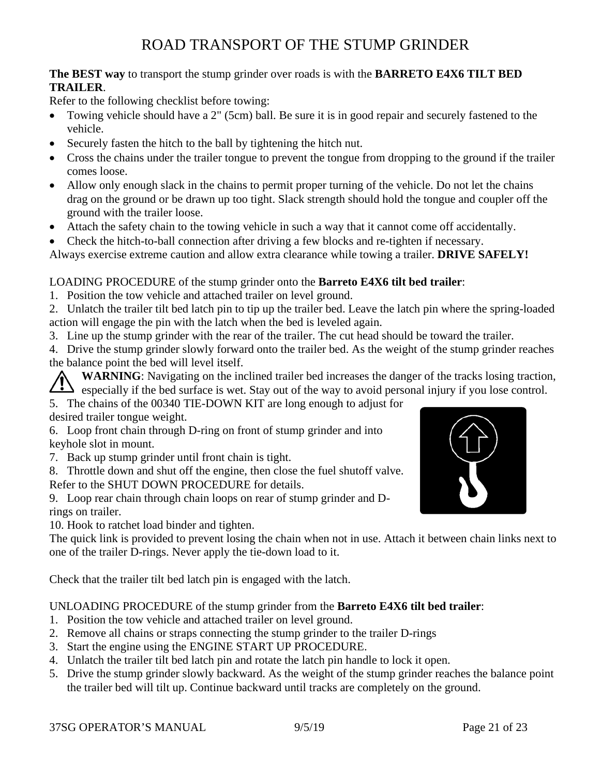# ROAD TRANSPORT OF THE STUMP GRINDER

#### **The BEST way** to transport the stump grinder over roads is with the **BARRETO E4X6 TILT BED TRAILER**.

Refer to the following checklist before towing:

- Towing vehicle should have a 2" (5cm) ball. Be sure it is in good repair and securely fastened to the vehicle.
- Securely fasten the hitch to the ball by tightening the hitch nut.
- Cross the chains under the trailer tongue to prevent the tongue from dropping to the ground if the trailer comes loose.
- Allow only enough slack in the chains to permit proper turning of the vehicle. Do not let the chains drag on the ground or be drawn up too tight. Slack strength should hold the tongue and coupler off the ground with the trailer loose.
- Attach the safety chain to the towing vehicle in such a way that it cannot come off accidentally.
- Check the hitch-to-ball connection after driving a few blocks and re-tighten if necessary.

Always exercise extreme caution and allow extra clearance while towing a trailer. **DRIVE SAFELY!**

#### LOADING PROCEDURE of the stump grinder onto the **Barreto E4X6 tilt bed trailer**:

1. Position the tow vehicle and attached trailer on level ground.

2. Unlatch the trailer tilt bed latch pin to tip up the trailer bed. Leave the latch pin where the spring-loaded action will engage the pin with the latch when the bed is leveled again.

3. Line up the stump grinder with the rear of the trailer. The cut head should be toward the trailer.

4. Drive the stump grinder slowly forward onto the trailer bed. As the weight of the stump grinder reaches the balance point the bed will level itself.

**WARNING**: Navigating on the inclined trailer bed increases the danger of the tracks losing traction, especially if the bed surface is wet. Stay out of the way to avoid personal injury if you lose control.

5. The chains of the 00340 TIE-DOWN KIT are long enough to adjust for desired trailer tongue weight.

6. Loop front chain through D-ring on front of stump grinder and into keyhole slot in mount.

- 7. Back up stump grinder until front chain is tight.
- 8. Throttle down and shut off the engine, then close the fuel shutoff valve.

Refer to the SHUT DOWN PROCEDURE for details.

9. Loop rear chain through chain loops on rear of stump grinder and Drings on trailer.

10. Hook to ratchet load binder and tighten.

The quick link is provided to prevent losing the chain when not in use. Attach it between chain links next to one of the trailer D-rings. Never apply the tie-down load to it.

Check that the trailer tilt bed latch pin is engaged with the latch.

#### UNLOADING PROCEDURE of the stump grinder from the **Barreto E4X6 tilt bed trailer**:

- 1. Position the tow vehicle and attached trailer on level ground.
- 2. Remove all chains or straps connecting the stump grinder to the trailer D-rings
- 3. Start the engine using the ENGINE START UP PROCEDURE.
- 4. Unlatch the trailer tilt bed latch pin and rotate the latch pin handle to lock it open.
- 5. Drive the stump grinder slowly backward. As the weight of the stump grinder reaches the balance point the trailer bed will tilt up. Continue backward until tracks are completely on the ground.

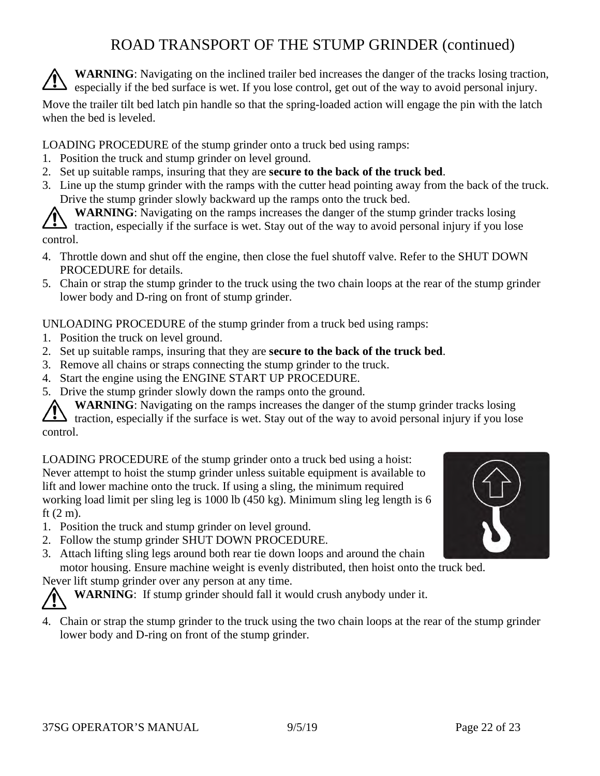# ROAD TRANSPORT OF THE STUMP GRINDER (continued)

**WARNING**: Navigating on the inclined trailer bed increases the danger of the tracks losing traction,  $\sum$  especially if the bed surface is wet. If you lose control, get out of the way to avoid personal injury.

Move the trailer tilt bed latch pin handle so that the spring-loaded action will engage the pin with the latch when the bed is leveled.

LOADING PROCEDURE of the stump grinder onto a truck bed using ramps:

- 1. Position the truck and stump grinder on level ground.
- 2. Set up suitable ramps, insuring that they are **secure to the back of the truck bed**.
- 3. Line up the stump grinder with the ramps with the cutter head pointing away from the back of the truck. Drive the stump grinder slowly backward up the ramps onto the truck bed.

**WARNING**: Navigating on the ramps increases the danger of the stump grinder tracks losing If traction, especially if the surface is wet. Stay out of the way to avoid personal injury if you lose control.

- 4. Throttle down and shut off the engine, then close the fuel shutoff valve. Refer to the SHUT DOWN PROCEDURE for details.
- 5. Chain or strap the stump grinder to the truck using the two chain loops at the rear of the stump grinder lower body and D-ring on front of stump grinder.

UNLOADING PROCEDURE of the stump grinder from a truck bed using ramps:

- 1. Position the truck on level ground.
- 2. Set up suitable ramps, insuring that they are **secure to the back of the truck bed**.
- 3. Remove all chains or straps connecting the stump grinder to the truck.
- 4. Start the engine using the ENGINE START UP PROCEDURE.
- 5. Drive the stump grinder slowly down the ramps onto the ground.

**WARNING**: Navigating on the ramps increases the danger of the stump grinder tracks losing If traction, especially if the surface is wet. Stay out of the way to avoid personal injury if you lose control.

LOADING PROCEDURE of the stump grinder onto a truck bed using a hoist: Never attempt to hoist the stump grinder unless suitable equipment is available to lift and lower machine onto the truck. If using a sling, the minimum required working load limit per sling leg is 1000 lb (450 kg). Minimum sling leg length is 6 ft (2 m).

- 1. Position the truck and stump grinder on level ground.
- 2. Follow the stump grinder SHUT DOWN PROCEDURE.
- 3. Attach lifting sling legs around both rear tie down loops and around the chain motor housing. Ensure machine weight is evenly distributed, then hoist onto the truck bed.

Never lift stump grinder over any person at any time.

**WARNING**: If stump grinder should fall it would crush anybody under it.

4. Chain or strap the stump grinder to the truck using the two chain loops at the rear of the stump grinder lower body and D-ring on front of the stump grinder.